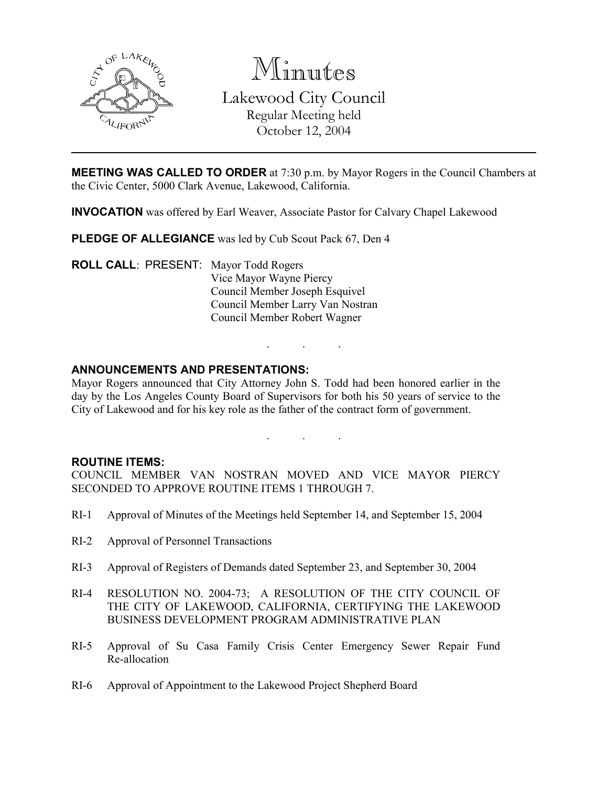

Minutes Lakewood City Council Regular Meeting held October 12, 2004

**MEETING WAS CALLED TO ORDER** at 7:30 p.m. by Mayor Rogers in the Council Chambers at the Civic Center, 5000 Clark Avenue, Lakewood, California.

INVOCATION was offered by Earl Weaver, Associate Pastor for Calvary Chapel Lakewood

PLEDGE OF ALLEGIANCE was led by Cub Scout Pack 67, Den 4

ROLL CALL: PRESENT: Mayor Todd Rogers Vice Mayor Wayne Piercy Council Member Joseph Esquivel Council Member Larry Van Nostran Council Member Robert Wagner

### ANNOUNCEMENTS AND PRESENTATIONS:

Mayor Rogers announced that City Attorney John S. Todd had been honored earlier in the day by the Los Angeles County Board of Supervisors for both his 50 years of service to the City of Lakewood and for his key role as the father of the contract form of government.

. . .

. . .

#### ROUTINE ITEMS:

COUNCIL MEMBER VAN NOSTRAN MOVED AND VICE MAYOR PIERCY SECONDED TO APPROVE ROUTINE ITEMS 1 THROUGH 7.

- RI-1 Approval of Minutes of the Meetings held September 14, and September 15, 2004
- RI-2 Approval of Personnel Transactions
- RI-3 Approval of Registers of Demands dated September 23, and September 30, 2004
- RI-4 RESOLUTION NO. 2004-73; A RESOLUTION OF THE CITY COUNCIL OF THE CITY OF LAKEWOOD, CALIFORNIA, CERTIFYING THE LAKEWOOD BUSINESS DEVELOPMENT PROGRAM ADMINISTRATIVE PLAN
- RI-5 Approval of Su Casa Family Crisis Center Emergency Sewer Repair Fund Re-allocation
- RI-6 Approval of Appointment to the Lakewood Project Shepherd Board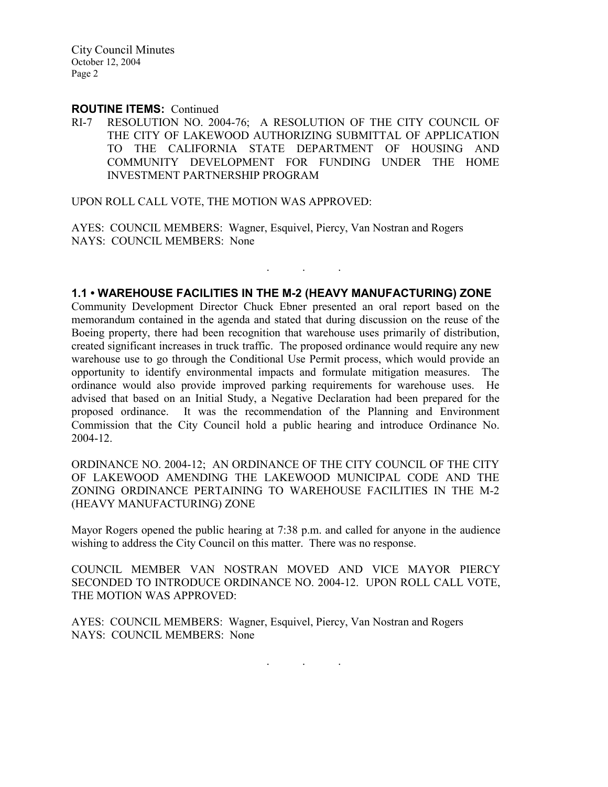City Council Minutes October 12, 2004 Page 2

#### ROUTINE ITEMS: Continued

RI-7 RESOLUTION NO. 2004-76; A RESOLUTION OF THE CITY COUNCIL OF THE CITY OF LAKEWOOD AUTHORIZING SUBMITTAL OF APPLICATION TO THE CALIFORNIA STATE DEPARTMENT OF HOUSING AND COMMUNITY DEVELOPMENT FOR FUNDING UNDER THE HOME INVESTMENT PARTNERSHIP PROGRAM

UPON ROLL CALL VOTE, THE MOTION WAS APPROVED:

AYES: COUNCIL MEMBERS: Wagner, Esquivel, Piercy, Van Nostran and Rogers NAYS: COUNCIL MEMBERS: None

### 1.1 • WAREHOUSE FACILITIES IN THE M-2 (HEAVY MANUFACTURING) ZONE

 $\mathcal{L}^{\mathcal{L}}$  . The set of  $\mathcal{L}^{\mathcal{L}}$  , we have

Community Development Director Chuck Ebner presented an oral report based on the memorandum contained in the agenda and stated that during discussion on the reuse of the Boeing property, there had been recognition that warehouse uses primarily of distribution, created significant increases in truck traffic. The proposed ordinance would require any new warehouse use to go through the Conditional Use Permit process, which would provide an opportunity to identify environmental impacts and formulate mitigation measures. The ordinance would also provide improved parking requirements for warehouse uses. He advised that based on an Initial Study, a Negative Declaration had been prepared for the proposed ordinance. It was the recommendation of the Planning and Environment Commission that the City Council hold a public hearing and introduce Ordinance No. 2004-12.

ORDINANCE NO. 2004-12; AN ORDINANCE OF THE CITY COUNCIL OF THE CITY OF LAKEWOOD AMENDING THE LAKEWOOD MUNICIPAL CODE AND THE ZONING ORDINANCE PERTAINING TO WAREHOUSE FACILITIES IN THE M-2 (HEAVY MANUFACTURING) ZONE

Mayor Rogers opened the public hearing at 7:38 p.m. and called for anyone in the audience wishing to address the City Council on this matter. There was no response.

COUNCIL MEMBER VAN NOSTRAN MOVED AND VICE MAYOR PIERCY SECONDED TO INTRODUCE ORDINANCE NO. 2004-12. UPON ROLL CALL VOTE, THE MOTION WAS APPROVED:

AYES: COUNCIL MEMBERS: Wagner, Esquivel, Piercy, Van Nostran and Rogers NAYS: COUNCIL MEMBERS: None

. . .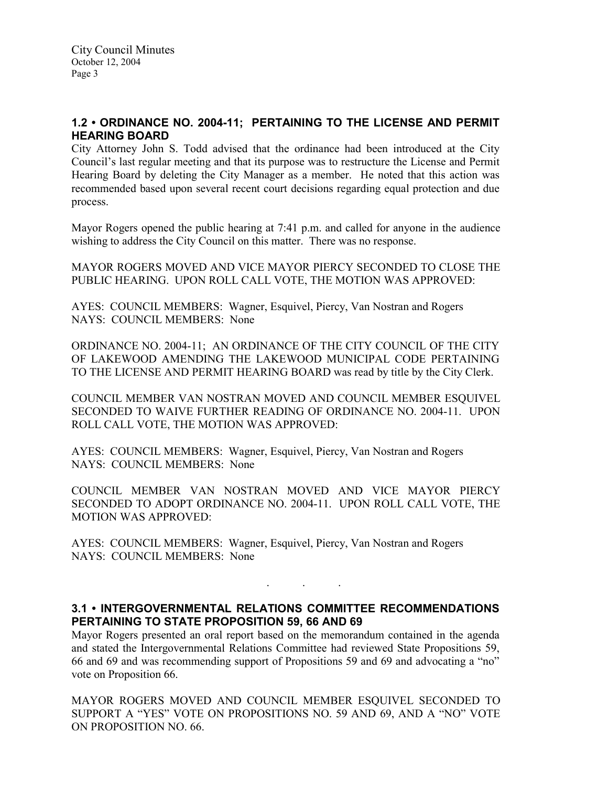## 1.2 • ORDINANCE NO. 2004-11; PERTAINING TO THE LICENSE AND PERMIT HEARING BOARD

City Attorney John S. Todd advised that the ordinance had been introduced at the City Council's last regular meeting and that its purpose was to restructure the License and Permit Hearing Board by deleting the City Manager as a member. He noted that this action was recommended based upon several recent court decisions regarding equal protection and due process.

Mayor Rogers opened the public hearing at 7:41 p.m. and called for anyone in the audience wishing to address the City Council on this matter. There was no response.

MAYOR ROGERS MOVED AND VICE MAYOR PIERCY SECONDED TO CLOSE THE PUBLIC HEARING. UPON ROLL CALL VOTE, THE MOTION WAS APPROVED:

AYES: COUNCIL MEMBERS: Wagner, Esquivel, Piercy, Van Nostran and Rogers NAYS: COUNCIL MEMBERS: None

ORDINANCE NO. 2004-11; AN ORDINANCE OF THE CITY COUNCIL OF THE CITY OF LAKEWOOD AMENDING THE LAKEWOOD MUNICIPAL CODE PERTAINING TO THE LICENSE AND PERMIT HEARING BOARD was read by title by the City Clerk.

COUNCIL MEMBER VAN NOSTRAN MOVED AND COUNCIL MEMBER ESQUIVEL SECONDED TO WAIVE FURTHER READING OF ORDINANCE NO. 2004-11. UPON ROLL CALL VOTE, THE MOTION WAS APPROVED:

AYES: COUNCIL MEMBERS: Wagner, Esquivel, Piercy, Van Nostran and Rogers NAYS: COUNCIL MEMBERS: None

COUNCIL MEMBER VAN NOSTRAN MOVED AND VICE MAYOR PIERCY SECONDED TO ADOPT ORDINANCE NO. 2004-11. UPON ROLL CALL VOTE, THE MOTION WAS APPROVED:

AYES: COUNCIL MEMBERS: Wagner, Esquivel, Piercy, Van Nostran and Rogers NAYS: COUNCIL MEMBERS: None

# 3.1 • INTERGOVERNMENTAL RELATIONS COMMITTEE RECOMMENDATIONS PERTAINING TO STATE PROPOSITION 59, 66 AND 69

. . .

Mayor Rogers presented an oral report based on the memorandum contained in the agenda and stated the Intergovernmental Relations Committee had reviewed State Propositions 59, 66 and 69 and was recommending support of Propositions 59 and 69 and advocating a "no" vote on Proposition 66.

MAYOR ROGERS MOVED AND COUNCIL MEMBER ESQUIVEL SECONDED TO SUPPORT A "YES" VOTE ON PROPOSITIONS NO. 59 AND 69, AND A "NO" VOTE ON PROPOSITION NO. 66.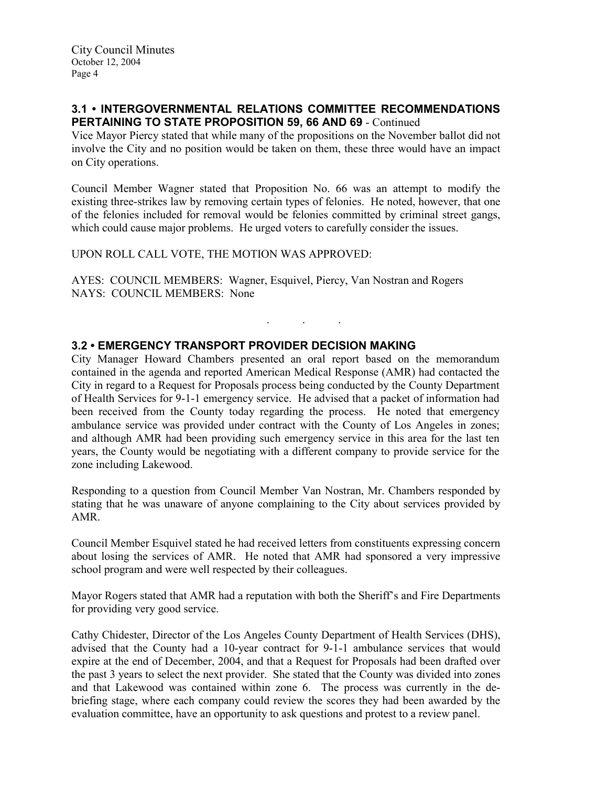### 3.1 • INTERGOVERNMENTAL RELATIONS COMMITTEE RECOMMENDATIONS PERTAINING TO STATE PROPOSITION 59, 66 AND 69 - Continued

Vice Mayor Piercy stated that while many of the propositions on the November ballot did not involve the City and no position would be taken on them, these three would have an impact on City operations.

Council Member Wagner stated that Proposition No. 66 was an attempt to modify the existing three-strikes law by removing certain types of felonies. He noted, however, that one of the felonies included for removal would be felonies committed by criminal street gangs, which could cause major problems. He urged voters to carefully consider the issues.

UPON ROLL CALL VOTE, THE MOTION WAS APPROVED:

AYES: COUNCIL MEMBERS: Wagner, Esquivel, Piercy, Van Nostran and Rogers NAYS: COUNCIL MEMBERS: None

## 3.2 • EMERGENCY TRANSPORT PROVIDER DECISION MAKING

City Manager Howard Chambers presented an oral report based on the memorandum contained in the agenda and reported American Medical Response (AMR) had contacted the City in regard to a Request for Proposals process being conducted by the County Department of Health Services for 9-1-1 emergency service. He advised that a packet of information had been received from the County today regarding the process. He noted that emergency ambulance service was provided under contract with the County of Los Angeles in zones; and although AMR had been providing such emergency service in this area for the last ten years, the County would be negotiating with a different company to provide service for the zone including Lakewood.

. . .

Responding to a question from Council Member Van Nostran, Mr. Chambers responded by stating that he was unaware of anyone complaining to the City about services provided by AMR.

Council Member Esquivel stated he had received letters from constituents expressing concern about losing the services of AMR. He noted that AMR had sponsored a very impressive school program and were well respected by their colleagues.

Mayor Rogers stated that AMR had a reputation with both the Sheriff's and Fire Departments for providing very good service.

Cathy Chidester, Director of the Los Angeles County Department of Health Services (DHS), advised that the County had a 10-year contract for 9-1-1 ambulance services that would expire at the end of December, 2004, and that a Request for Proposals had been drafted over the past 3 years to select the next provider. She stated that the County was divided into zones and that Lakewood was contained within zone 6. The process was currently in the debriefing stage, where each company could review the scores they had been awarded by the evaluation committee, have an opportunity to ask questions and protest to a review panel.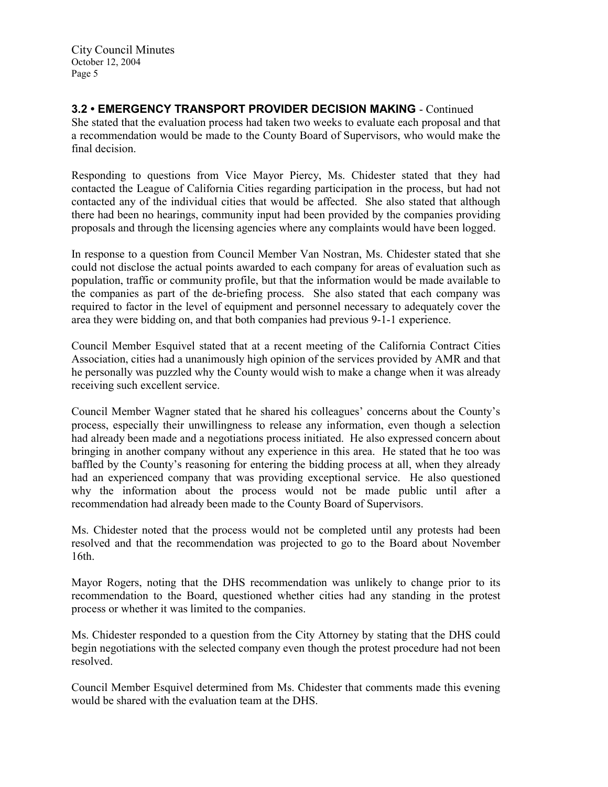City Council Minutes October 12, 2004 Page 5

3.2 • EMERGENCY TRANSPORT PROVIDER DECISION MAKING - Continued She stated that the evaluation process had taken two weeks to evaluate each proposal and that a recommendation would be made to the County Board of Supervisors, who would make the final decision.

Responding to questions from Vice Mayor Piercy, Ms. Chidester stated that they had contacted the League of California Cities regarding participation in the process, but had not contacted any of the individual cities that would be affected. She also stated that although there had been no hearings, community input had been provided by the companies providing proposals and through the licensing agencies where any complaints would have been logged.

In response to a question from Council Member Van Nostran, Ms. Chidester stated that she could not disclose the actual points awarded to each company for areas of evaluation such as population, traffic or community profile, but that the information would be made available to the companies as part of the de-briefing process. She also stated that each company was required to factor in the level of equipment and personnel necessary to adequately cover the area they were bidding on, and that both companies had previous 9-1-1 experience.

Council Member Esquivel stated that at a recent meeting of the California Contract Cities Association, cities had a unanimously high opinion of the services provided by AMR and that he personally was puzzled why the County would wish to make a change when it was already receiving such excellent service.

Council Member Wagner stated that he shared his colleagues' concerns about the County's process, especially their unwillingness to release any information, even though a selection had already been made and a negotiations process initiated. He also expressed concern about bringing in another company without any experience in this area. He stated that he too was baffled by the County's reasoning for entering the bidding process at all, when they already had an experienced company that was providing exceptional service. He also questioned why the information about the process would not be made public until after a recommendation had already been made to the County Board of Supervisors.

Ms. Chidester noted that the process would not be completed until any protests had been resolved and that the recommendation was projected to go to the Board about November 16th.

Mayor Rogers, noting that the DHS recommendation was unlikely to change prior to its recommendation to the Board, questioned whether cities had any standing in the protest process or whether it was limited to the companies.

Ms. Chidester responded to a question from the City Attorney by stating that the DHS could begin negotiations with the selected company even though the protest procedure had not been resolved.

Council Member Esquivel determined from Ms. Chidester that comments made this evening would be shared with the evaluation team at the DHS.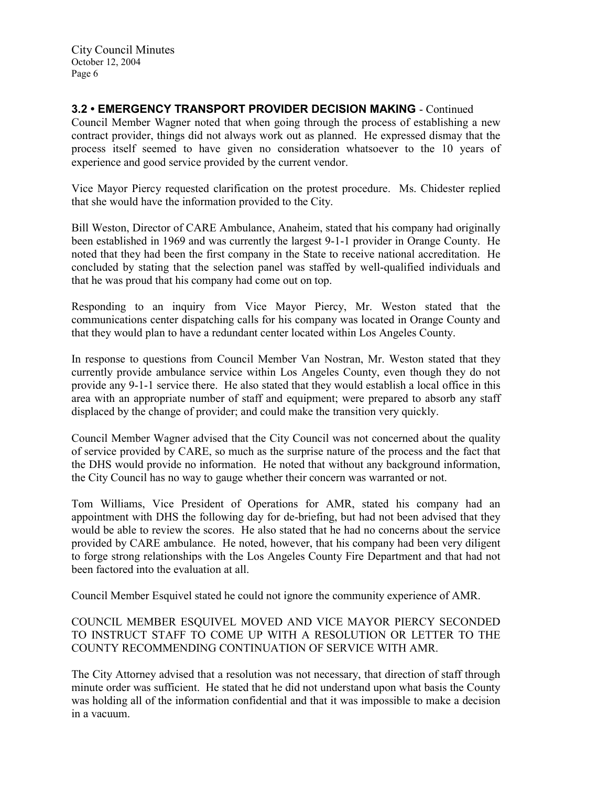3.2 • EMERGENCY TRANSPORT PROVIDER DECISION MAKING - Continued

Council Member Wagner noted that when going through the process of establishing a new contract provider, things did not always work out as planned. He expressed dismay that the process itself seemed to have given no consideration whatsoever to the 10 years of experience and good service provided by the current vendor.

Vice Mayor Piercy requested clarification on the protest procedure. Ms. Chidester replied that she would have the information provided to the City.

Bill Weston, Director of CARE Ambulance, Anaheim, stated that his company had originally been established in 1969 and was currently the largest 9-1-1 provider in Orange County. He noted that they had been the first company in the State to receive national accreditation. He concluded by stating that the selection panel was staffed by well-qualified individuals and that he was proud that his company had come out on top.

Responding to an inquiry from Vice Mayor Piercy, Mr. Weston stated that the communications center dispatching calls for his company was located in Orange County and that they would plan to have a redundant center located within Los Angeles County.

In response to questions from Council Member Van Nostran, Mr. Weston stated that they currently provide ambulance service within Los Angeles County, even though they do not provide any 9-1-1 service there. He also stated that they would establish a local office in this area with an appropriate number of staff and equipment; were prepared to absorb any staff displaced by the change of provider; and could make the transition very quickly.

Council Member Wagner advised that the City Council was not concerned about the quality of service provided by CARE, so much as the surprise nature of the process and the fact that the DHS would provide no information. He noted that without any background information, the City Council has no way to gauge whether their concern was warranted or not.

Tom Williams, Vice President of Operations for AMR, stated his company had an appointment with DHS the following day for de-briefing, but had not been advised that they would be able to review the scores. He also stated that he had no concerns about the service provided by CARE ambulance. He noted, however, that his company had been very diligent to forge strong relationships with the Los Angeles County Fire Department and that had not been factored into the evaluation at all.

Council Member Esquivel stated he could not ignore the community experience of AMR.

COUNCIL MEMBER ESQUIVEL MOVED AND VICE MAYOR PIERCY SECONDED TO INSTRUCT STAFF TO COME UP WITH A RESOLUTION OR LETTER TO THE COUNTY RECOMMENDING CONTINUATION OF SERVICE WITH AMR.

The City Attorney advised that a resolution was not necessary, that direction of staff through minute order was sufficient. He stated that he did not understand upon what basis the County was holding all of the information confidential and that it was impossible to make a decision in a vacuum.